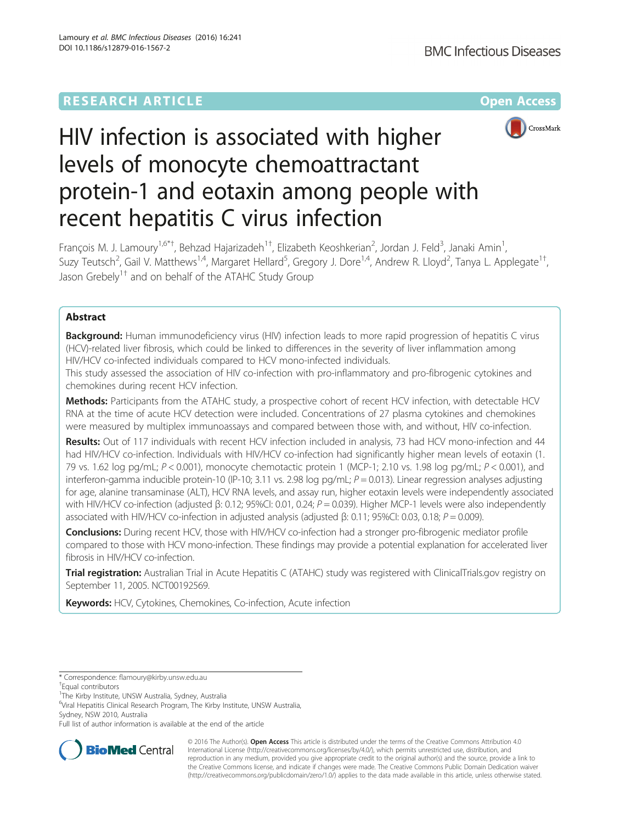

# HIV infection is associated with higher levels of monocyte chemoattractant protein-1 and eotaxin among people with recent hepatitis C virus infection

François M. J. Lamoury<sup>1,6\*†</sup>, Behzad Hajarizadeh<sup>1†</sup>, Elizabeth Keoshkerian<sup>2</sup>, Jordan J. Feld<sup>3</sup>, Janaki Amin<sup>1</sup> , Suzy Teutsch<sup>2</sup>, Gail V. Matthews<sup>1,4</sup>, Margaret Hellard<sup>5</sup>, Gregory J. Dore<sup>1,4</sup>, Andrew R. Lloyd<sup>2</sup>, Tanya L. Applegate<sup>1†</sup> , Jason Grebely<sup>1†</sup> and on behalf of the ATAHC Study Group

# Abstract

Background: Human immunodeficiency virus (HIV) infection leads to more rapid progression of hepatitis C virus (HCV)-related liver fibrosis, which could be linked to differences in the severity of liver inflammation among HIV/HCV co-infected individuals compared to HCV mono-infected individuals.

This study assessed the association of HIV co-infection with pro-inflammatory and pro-fibrogenic cytokines and chemokines during recent HCV infection.

Methods: Participants from the ATAHC study, a prospective cohort of recent HCV infection, with detectable HCV RNA at the time of acute HCV detection were included. Concentrations of 27 plasma cytokines and chemokines were measured by multiplex immunoassays and compared between those with, and without, HIV co-infection.

Results: Out of 117 individuals with recent HCV infection included in analysis, 73 had HCV mono-infection and 44 had HIV/HCV co-infection. Individuals with HIV/HCV co-infection had significantly higher mean levels of eotaxin (1. 79 vs. 1.62 log pg/mL;  $P < 0.001$ ), monocyte chemotactic protein 1 (MCP-1; 2.10 vs. 1.98 log pg/mL;  $P < 0.001$ ), and interferon-gamma inducible protein-10 (IP-10; 3.11 vs. 2.98 log pg/mL;  $P = 0.013$ ). Linear regression analyses adjusting for age, alanine transaminase (ALT), HCV RNA levels, and assay run, higher eotaxin levels were independently associated with HIV/HCV co-infection (adjusted β: 0.12; 95%CI: 0.01, 0.24;  $P = 0.039$ ). Higher MCP-1 levels were also independently associated with HIV/HCV co-infection in adjusted analysis (adjusted  $\beta$ : 0.11; 95%CI: 0.03, 0.18;  $P = 0.009$ ).

Conclusions: During recent HCV, those with HIV/HCV co-infection had a stronger pro-fibrogenic mediator profile compared to those with HCV mono-infection. These findings may provide a potential explanation for accelerated liver fibrosis in HIV/HCV co-infection.

Trial registration: Australian Trial in Acute Hepatitis C (ATAHC) study was registered with ClinicalTrials.gov registry on September 11, 2005. [NCT00192569.](https://clinicaltrials.gov/ct2/show/NCT00192569)

Keywords: HCV, Cytokines, Chemokines, Co-infection, Acute infection

6 Viral Hepatitis Clinical Research Program, The Kirby Institute, UNSW Australia, Sydney, NSW 2010, Australia

Full list of author information is available at the end of the article



© 2016 The Author(s). Open Access This article is distributed under the terms of the Creative Commons Attribution 4.0 International License [\(http://creativecommons.org/licenses/by/4.0/](http://creativecommons.org/licenses/by/4.0/)), which permits unrestricted use, distribution, and reproduction in any medium, provided you give appropriate credit to the original author(s) and the source, provide a link to the Creative Commons license, and indicate if changes were made. The Creative Commons Public Domain Dedication waiver [\(http://creativecommons.org/publicdomain/zero/1.0/](http://creativecommons.org/publicdomain/zero/1.0/)) applies to the data made available in this article, unless otherwise stated.

<sup>\*</sup> Correspondence: [flamoury@kirby.unsw.edu.au](mailto:flamoury@kirby.unsw.edu.au) †

<sup>&</sup>lt;sup>+</sup>Equal contributors

<sup>&</sup>lt;sup>1</sup>The Kirby Institute, UNSW Australia, Sydney, Australia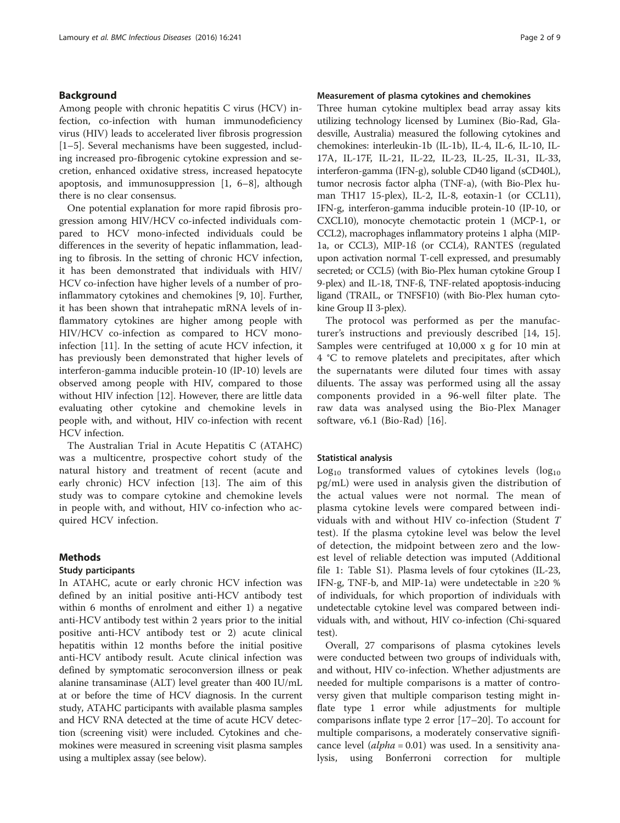## Background

Among people with chronic hepatitis C virus (HCV) infection, co-infection with human immunodeficiency virus (HIV) leads to accelerated liver fibrosis progression [[1](#page-7-0)–[5\]](#page-7-0). Several mechanisms have been suggested, including increased pro-fibrogenic cytokine expression and secretion, enhanced oxidative stress, increased hepatocyte apoptosis, and immunosuppression [\[1](#page-7-0), [6](#page-7-0)–[8\]](#page-7-0), although there is no clear consensus.

One potential explanation for more rapid fibrosis progression among HIV/HCV co-infected individuals compared to HCV mono-infected individuals could be differences in the severity of hepatic inflammation, leading to fibrosis. In the setting of chronic HCV infection, it has been demonstrated that individuals with HIV/ HCV co-infection have higher levels of a number of proinflammatory cytokines and chemokines [[9, 10\]](#page-7-0). Further, it has been shown that intrahepatic mRNA levels of inflammatory cytokines are higher among people with HIV/HCV co-infection as compared to HCV monoinfection [[11\]](#page-7-0). In the setting of acute HCV infection, it has previously been demonstrated that higher levels of interferon-gamma inducible protein-10 (IP-10) levels are observed among people with HIV, compared to those without HIV infection [[12\]](#page-7-0). However, there are little data evaluating other cytokine and chemokine levels in people with, and without, HIV co-infection with recent HCV infection.

The Australian Trial in Acute Hepatitis C (ATAHC) was a multicentre, prospective cohort study of the natural history and treatment of recent (acute and early chronic) HCV infection [\[13](#page-7-0)]. The aim of this study was to compare cytokine and chemokine levels in people with, and without, HIV co-infection who acquired HCV infection.

## Methods

## Study participants

In ATAHC, acute or early chronic HCV infection was defined by an initial positive anti-HCV antibody test within 6 months of enrolment and either 1) a negative anti-HCV antibody test within 2 years prior to the initial positive anti-HCV antibody test or 2) acute clinical hepatitis within 12 months before the initial positive anti-HCV antibody result. Acute clinical infection was defined by symptomatic seroconversion illness or peak alanine transaminase (ALT) level greater than 400 IU/mL at or before the time of HCV diagnosis. In the current study, ATAHC participants with available plasma samples and HCV RNA detected at the time of acute HCV detection (screening visit) were included. Cytokines and chemokines were measured in screening visit plasma samples using a multiplex assay (see below).

## Measurement of plasma cytokines and chemokines

Three human cytokine multiplex bead array assay kits utilizing technology licensed by Luminex (Bio-Rad, Gladesville, Australia) measured the following cytokines and chemokines: interleukin-1b (IL-1b), IL-4, IL-6, IL-10, IL-17A, IL-17F, IL-21, IL-22, IL-23, IL-25, IL-31, IL-33, interferon-gamma (IFN-g), soluble CD40 ligand (sCD40L), tumor necrosis factor alpha (TNF-a), (with Bio-Plex human TH17 15-plex), IL-2, IL-8, eotaxin-1 (or CCL11), IFN-g, interferon-gamma inducible protein-10 (IP-10, or CXCL10), monocyte chemotactic protein 1 (MCP-1, or CCL2), macrophages inflammatory proteins 1 alpha (MIP-1a, or CCL3), MIP-1ß (or CCL4), RANTES (regulated upon activation normal T-cell expressed, and presumably secreted; or CCL5) (with Bio-Plex human cytokine Group I 9-plex) and IL-18, TNF-ß, TNF-related apoptosis-inducing ligand (TRAIL, or TNFSF10) (with Bio-Plex human cytokine Group II 3-plex).

The protocol was performed as per the manufacturer's instructions and previously described [[14](#page-7-0), [15](#page-7-0)]. Samples were centrifuged at 10,000 x g for 10 min at 4 °C to remove platelets and precipitates, after which the supernatants were diluted four times with assay diluents. The assay was performed using all the assay components provided in a 96-well filter plate. The raw data was analysed using the Bio-Plex Manager software, v6.1 (Bio-Rad) [[16\]](#page-7-0).

## Statistical analysis

 $Log<sub>10</sub>$  transformed values of cytokines levels (log<sub>10</sub>) pg/mL) were used in analysis given the distribution of the actual values were not normal. The mean of plasma cytokine levels were compared between individuals with and without HIV co-infection (Student T test). If the plasma cytokine level was below the level of detection, the midpoint between zero and the lowest level of reliable detection was imputed (Additional file [1](#page-6-0): Table S1). Plasma levels of four cytokines (IL-23, IFN-g, TNF-b, and MIP-1a) were undetectable in ≥20 % of individuals, for which proportion of individuals with undetectable cytokine level was compared between individuals with, and without, HIV co-infection (Chi-squared test).

Overall, 27 comparisons of plasma cytokines levels were conducted between two groups of individuals with, and without, HIV co-infection. Whether adjustments are needed for multiple comparisons is a matter of controversy given that multiple comparison testing might inflate type 1 error while adjustments for multiple comparisons inflate type 2 error [[17](#page-7-0)–[20\]](#page-7-0). To account for multiple comparisons, a moderately conservative significance level  $\langle \text{alpha} = 0.01 \rangle$  was used. In a sensitivity analysis, using Bonferroni correction for multiple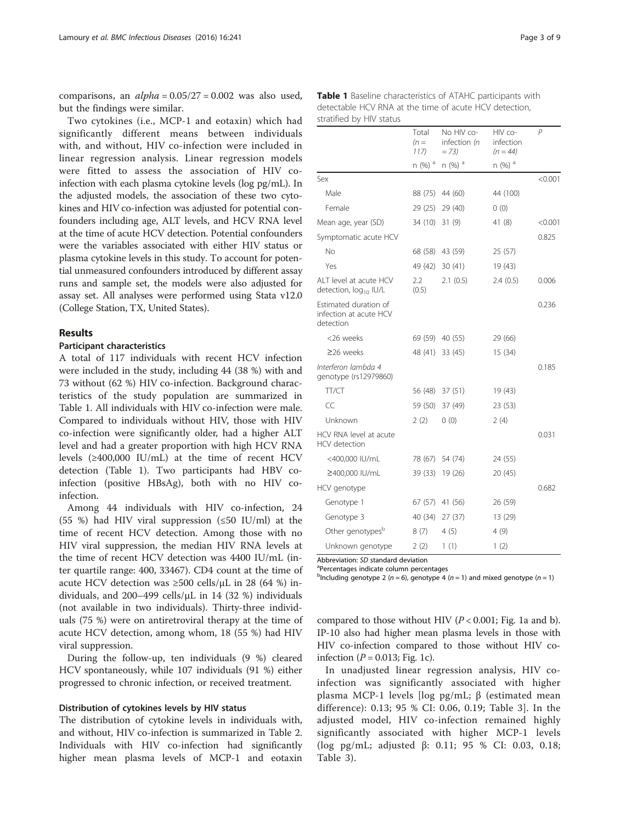comparisons, an  $alpha = 0.05/27 = 0.002$  was also used, but the findings were similar.

Two cytokines (i.e., MCP-1 and eotaxin) which had significantly different means between individuals with, and without, HIV co-infection were included in linear regression analysis. Linear regression models were fitted to assess the association of HIV coinfection with each plasma cytokine levels (log pg/mL). In the adjusted models, the association of these two cytokines and HIV co-infection was adjusted for potential confounders including age, ALT levels, and HCV RNA level at the time of acute HCV detection. Potential confounders were the variables associated with either HIV status or plasma cytokine levels in this study. To account for potential unmeasured confounders introduced by different assay runs and sample set, the models were also adjusted for assay set. All analyses were performed using Stata v12.0 (College Station, TX, United States).

## Results

## Participant characteristics

A total of 117 individuals with recent HCV infection were included in the study, including 44 (38 %) with and 73 without (62 %) HIV co-infection. Background characteristics of the study population are summarized in Table 1. All individuals with HIV co-infection were male. Compared to individuals without HIV, those with HIV co-infection were significantly older, had a higher ALT level and had a greater proportion with high HCV RNA levels  $(≥400,000$  IU/mL) at the time of recent HCV detection (Table 1). Two participants had HBV coinfection (positive HBsAg), both with no HIV coinfection.

Among 44 individuals with HIV co-infection, 24 (55 %) had HIV viral suppression ( $\leq$ 50 IU/ml) at the time of recent HCV detection. Among those with no HIV viral suppression, the median HIV RNA levels at the time of recent HCV detection was 4400 IU/mL (inter quartile range: 400, 33467). CD4 count at the time of acute HCV detection was  $\geq 500$  cells/ $\mu$ L in 28 (64 %) individuals, and 200–499 cells/μL in 14 (32 %) individuals (not available in two individuals). Thirty-three individuals (75 %) were on antiretroviral therapy at the time of acute HCV detection, among whom, 18 (55 %) had HIV viral suppression.

During the follow-up, ten individuals (9 %) cleared HCV spontaneously, while 107 individuals (91 %) either progressed to chronic infection, or received treatment.

## Distribution of cytokines levels by HIV status

The distribution of cytokine levels in individuals with, and without, HIV co-infection is summarized in Table [2](#page-3-0). Individuals with HIV co-infection had significantly higher mean plasma levels of MCP-1 and eotaxin

Table 1 Baseline characteristics of ATAHC participants with detectable HCV RNA at the time of acute HCV detection, stratified by HIV status

|                                                              | Total<br>$(n=$<br>117) | No HIV co-<br>infection (n<br>$= 73$ | HIV co-<br>infection<br>$(n = 44)$ | $\overline{P}$ |
|--------------------------------------------------------------|------------------------|--------------------------------------|------------------------------------|----------------|
|                                                              | n (%) <sup>a</sup>     | $n$ (%) $a$                          | $n$ (%) $a$                        |                |
| Sex                                                          |                        |                                      |                                    | < 0.001        |
| Male                                                         | 88 (75)                | 44 (60)                              | 44 (100)                           |                |
| Female                                                       | 29 (25)                | 29 (40)                              | 0(0)                               |                |
| Mean age, year (SD)                                          | 34 (10)                | 31(9)                                | 41(8)                              | < 0.001        |
| Symptomatic acute HCV                                        |                        |                                      |                                    | 0.825          |
| No                                                           | 68 (58)                | 43 (59)                              | 25 (57)                            |                |
| Yes                                                          | 49 (42)                | 30(41)                               | 19 (43)                            |                |
| ALT level at acute HCV<br>detection, log <sub>10</sub> IU/L  | 2.2<br>(0.5)           | 2.1(0.5)                             | 2.4(0.5)                           | 0.006          |
| Estimated duration of<br>infection at acute HCV<br>detection |                        |                                      |                                    | 0.236          |
| <26 weeks                                                    |                        | 69 (59) 40 (55)                      | 29 (66)                            |                |
| $\geq$ 26 weeks                                              | 48 (41)                | 33 (45)                              | 15 (34)                            |                |
| Interferon lambda 4<br>genotype (rs12979860)                 |                        |                                      |                                    | 0.185          |
| TT/CT                                                        |                        | 56 (48) 37 (51)                      | 19 (43)                            |                |
| CC                                                           | 59 (50)                | 37 (49)                              | 23 (53)                            |                |
| Unknown                                                      | 2(2)                   | 0(0)                                 | 2(4)                               |                |
| HCV RNA level at acute<br><b>HCV</b> detection               |                        |                                      |                                    | 0.031          |
| <400,000 IU/mL                                               |                        | 78 (67) 54 (74)                      | 24 (55)                            |                |
| ≥400,000 IU/mL                                               | 39 (33)                | 19 (26)                              | 20 (45)                            |                |
| HCV genotype                                                 |                        |                                      |                                    | 0.682          |
| Genotype 1                                                   | 67 (57)                | 41 (56)                              | 26 (59)                            |                |
| Genotype 3                                                   | 40 (34)                | 27(37)                               | 13 (29)                            |                |
| Other genotypes <sup>b</sup>                                 | 8(7)                   | 4(5)                                 | 4(9)                               |                |
| Unknown genotype                                             | 2(2)                   | 1(1)                                 | 1(2)                               |                |
|                                                              |                        |                                      |                                    |                |

Abbreviation: SD standard deviation

Percentages indicate column percentages

<sup>b</sup>Including genotype 2 (n = 6), genotype 4 (n = 1) and mixed genotype (n = 1)

compared to those without HIV  $(P < 0.001$ ; Fig. [1a](#page-3-0) and [b](#page-3-0)). IP-10 also had higher mean plasma levels in those with HIV co-infection compared to those without HIV coinfection ( $P = 0.013$ ; Fig. [1c\)](#page-3-0).

In unadjusted linear regression analysis, HIV coinfection was significantly associated with higher plasma MCP-1 levels [log pg/mL; β (estimated mean difference): 0.13; 95 % CI: 0.06, 0.19; Table [3\]](#page-4-0). In the adjusted model, HIV co-infection remained highly significantly associated with higher MCP-1 levels (log pg/mL; adjusted β: 0.11; 95 % CI: 0.03, 0.18; Table [3\)](#page-4-0).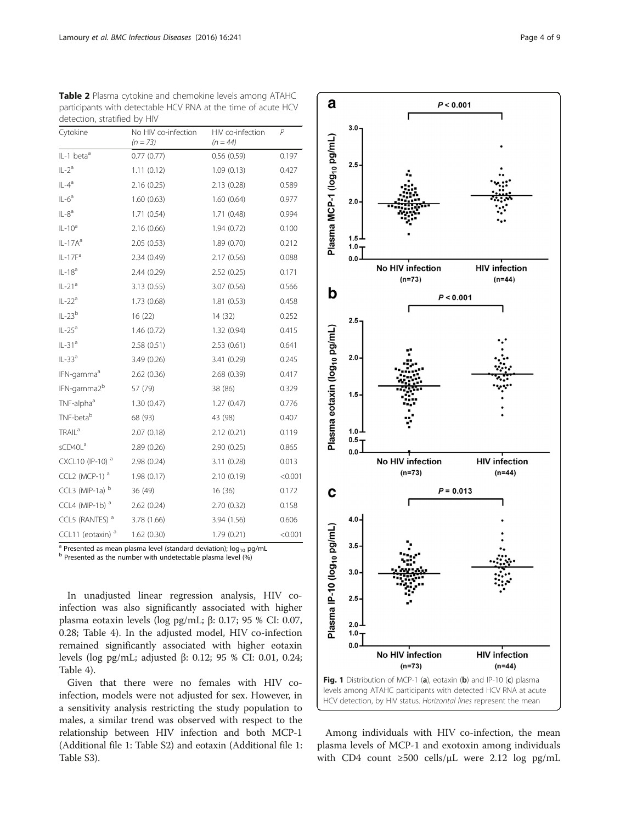| Cytokine                     | No HIV co-infection<br>$(n = 73)$ | HIV co-infection<br>$(n = 44)$ | P       |
|------------------------------|-----------------------------------|--------------------------------|---------|
| IL-1 beta <sup>a</sup>       | 0.77(0.77)                        | 0.56(0.59)                     | 0.197   |
| $IL-2a$                      | 1.11(0.12)                        | 1.09(0.13)                     | 0.427   |
| $IL-4a$                      | 2.16(0.25)                        | 2.13(0.28)                     | 0.589   |
| $IL-6a$                      | 1.60(0.63)                        | 1.60(0.64)                     | 0.977   |
| $IL-8a$                      | 1.71(0.54)                        | 1.71(0.48)                     | 0.994   |
| $IL-10a$                     | 2.16(0.66)                        | 1.94(0.72)                     | 0.100   |
| $IL-17Aa$                    | 2.05(0.53)                        | 1.89(0.70)                     | 0.212   |
| $IL-17Fa$                    | 2.34(0.49)                        | 2.17(0.56)                     | 0.088   |
| $IL-18a$                     | 2.44(0.29)                        | 2.52(0.25)                     | 0.171   |
| $IL-21a$                     | 3.13(0.55)                        | 3.07 (0.56)                    | 0.566   |
| $IL-22a$                     | 1.73 (0.68)                       | 1.81(0.53)                     | 0.458   |
| $IL-23b$                     | 16(22)                            | 14 (32)                        | 0.252   |
| $IL-25a$                     | 1.46(0.72)                        | 1.32(0.94)                     | 0.415   |
| $IL-31a$                     | 2.58(0.51)                        | 2.53(0.61)                     | 0.641   |
| $IL-33a$                     | 3.49 (0.26)                       | 3.41 (0.29)                    | 0.245   |
| IFN-gamma <sup>a</sup>       | 2.62(0.36)                        | 2.68(0.39)                     | 0.417   |
| IFN-gamma2 <sup>b</sup>      | 57 (79)                           | 38 (86)                        | 0.329   |
| TNF-alpha <sup>a</sup>       | 1.30(0.47)                        | 1.27(0.47)                     | 0.776   |
| TNF-beta <sup>b</sup>        | 68 (93)                           | 43 (98)                        | 0.407   |
| <b>TRAIL</b> <sup>a</sup>    | 2.07(0.18)                        | 2.12(0.21)                     | 0.119   |
| sCD40L <sup>a</sup>          | 2.89(0.26)                        | 2.90(0.25)                     | 0.865   |
| CXCL10 (IP-10) <sup>a</sup>  | 2.98(0.24)                        | 3.11(0.28)                     | 0.013   |
| CCL2 (MCP-1) $a$             | 1.98(0.17)                        | 2.10(0.19)                     | < 0.001 |
| CCL3 (MIP-1a) $b$            | 36 (49)                           | 16(36)                         | 0.172   |
| CCL4 (MIP-1b) $a$            | 2.62(0.24)                        | 2.70(0.32)                     | 0.158   |
| CCL5 (RANTES) <sup>a</sup>   | 3.78 (1.66)                       | 3.94 (1.56)                    | 0.606   |
| CCL11 (eotaxin) <sup>a</sup> | 1.62(0.30)                        | 1.79 (0.21)                    | < 0.001 |

<span id="page-3-0"></span>Table 2 Plasma cytokine and chemokine levels among ATAHC participants with detectable HCV RNA at the time of acute HCV detection, stratified by HIV

<sup>a</sup> Presented as mean plasma level (standard deviation); log<sub>10</sub> pg/mL b Presented as the number with undetectable plasma level (%)

In unadjusted linear regression analysis, HIV coinfection was also significantly associated with higher plasma eotaxin levels (log pg/mL; β: 0.17; 95 % CI: 0.07, 0.28; Table [4](#page-5-0)). In the adjusted model, HIV co-infection remained significantly associated with higher eotaxin levels (log pg/mL; adjusted β: 0.12; 95 % CI: 0.01, 0.24; Table [4\)](#page-5-0).

Given that there were no females with HIV coinfection, models were not adjusted for sex. However, in a sensitivity analysis restricting the study population to males, a similar trend was observed with respect to the relationship between HIV infection and both MCP-1 (Additional file [1:](#page-6-0) Table S2) and eotaxin (Additional file [1](#page-6-0): Table S3).



Among individuals with HIV co-infection, the mean plasma levels of MCP-1 and exotoxin among individuals with CD4 count ≥500 cells/μL were 2.12 log pg/mL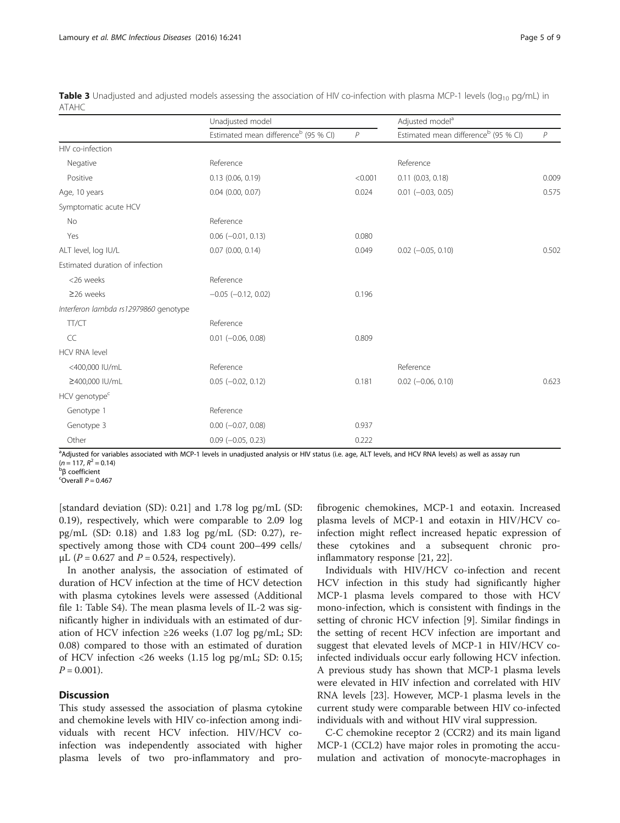|                                       | Unadjusted model                                 |         | Adjusted model <sup>a</sup>                      |              |
|---------------------------------------|--------------------------------------------------|---------|--------------------------------------------------|--------------|
|                                       | Estimated mean difference <sup>b</sup> (95 % CI) | P       | Estimated mean difference <sup>b</sup> (95 % CI) | $\mathcal P$ |
| HIV co-infection                      |                                                  |         |                                                  |              |
| Negative                              | Reference                                        |         | Reference                                        |              |
| Positive                              | $0.13$ (0.06, 0.19)                              | < 0.001 | 0.11(0.03, 0.18)                                 | 0.009        |
| Age, 10 years                         | $0.04$ $(0.00, 0.07)$                            | 0.024   | $0.01$ $(-0.03, 0.05)$                           | 0.575        |
| Symptomatic acute HCV                 |                                                  |         |                                                  |              |
| No                                    | Reference                                        |         |                                                  |              |
| Yes                                   | $0.06$ ( $-0.01$ , $0.13$ )                      | 0.080   |                                                  |              |
| ALT level, log IU/L                   | $0.07$ $(0.00, 0.14)$                            | 0.049   | $0.02$ ( $-0.05$ , $0.10$ )                      | 0.502        |
| Estimated duration of infection       |                                                  |         |                                                  |              |
| <26 weeks                             | Reference                                        |         |                                                  |              |
| $\geq$ 26 weeks                       | $-0.05$ $(-0.12, 0.02)$                          | 0.196   |                                                  |              |
| Interferon lambda rs12979860 genotype |                                                  |         |                                                  |              |
| TT/CT                                 | Reference                                        |         |                                                  |              |
| CC                                    | $0.01$ (-0.06, 0.08)                             | 0.809   |                                                  |              |
| <b>HCV RNA level</b>                  |                                                  |         |                                                  |              |
| <400,000 IU/mL                        | Reference                                        |         | Reference                                        |              |
| ≥400,000 IU/mL                        | $0.05$ ( $-0.02$ , $0.12$ )                      | 0.181   | $0.02$ (-0.06, 0.10)                             | 0.623        |
| HCV genotype <sup>c</sup>             |                                                  |         |                                                  |              |
| Genotype 1                            | Reference                                        |         |                                                  |              |
| Genotype 3                            | $0.00 (-0.07, 0.08)$                             | 0.937   |                                                  |              |
| Other                                 | $0.09$ ( $-0.05$ , 0.23)                         | 0.222   |                                                  |              |

<span id="page-4-0"></span>**Table 3** Unadjusted and adjusted models assessing the association of HIV co-infection with plasma MCP-1 levels ( $log_{10}$  pg/mL) in ATAHC

a<br>Adjusted for variables associated with MCP-1 levels in unadjusted analysis or HIV status (i.e. age, ALT levels, and HCV RNA levels) as well as assay run  $(n = 117, R^2 = 0.14)$ 

<sup>b</sup>β coefficient

 $^c$ Overall  $P = 0.467$ 

[standard deviation (SD): 0.21] and 1.78 log pg/mL (SD: 0.19), respectively, which were comparable to 2.09 log pg/mL (SD: 0.18) and 1.83 log pg/mL (SD: 0.27), respectively among those with CD4 count 200–499 cells/ μL ( $P = 0.627$  and  $P = 0.524$ , respectively).

In another analysis, the association of estimated of duration of HCV infection at the time of HCV detection with plasma cytokines levels were assessed (Additional file [1:](#page-6-0) Table S4). The mean plasma levels of IL-2 was significantly higher in individuals with an estimated of duration of HCV infection ≥26 weeks  $(1.07 \log \text{pg/mL}; SD:$ 0.08) compared to those with an estimated of duration of HCV infection <26 weeks (1.15 log pg/mL; SD: 0.15;  $P = 0.001$ ).

## **Discussion**

This study assessed the association of plasma cytokine and chemokine levels with HIV co-infection among individuals with recent HCV infection. HIV/HCV coinfection was independently associated with higher plasma levels of two pro-inflammatory and profibrogenic chemokines, MCP-1 and eotaxin. Increased plasma levels of MCP-1 and eotaxin in HIV/HCV coinfection might reflect increased hepatic expression of these cytokines and a subsequent chronic proinflammatory response [[21](#page-7-0), [22](#page-7-0)].

Individuals with HIV/HCV co-infection and recent HCV infection in this study had significantly higher MCP-1 plasma levels compared to those with HCV mono-infection, which is consistent with findings in the setting of chronic HCV infection [[9](#page-7-0)]. Similar findings in the setting of recent HCV infection are important and suggest that elevated levels of MCP-1 in HIV/HCV coinfected individuals occur early following HCV infection. A previous study has shown that MCP-1 plasma levels were elevated in HIV infection and correlated with HIV RNA levels [[23\]](#page-7-0). However, MCP-1 plasma levels in the current study were comparable between HIV co-infected individuals with and without HIV viral suppression.

C-C chemokine receptor 2 (CCR2) and its main ligand MCP-1 (CCL2) have major roles in promoting the accumulation and activation of monocyte-macrophages in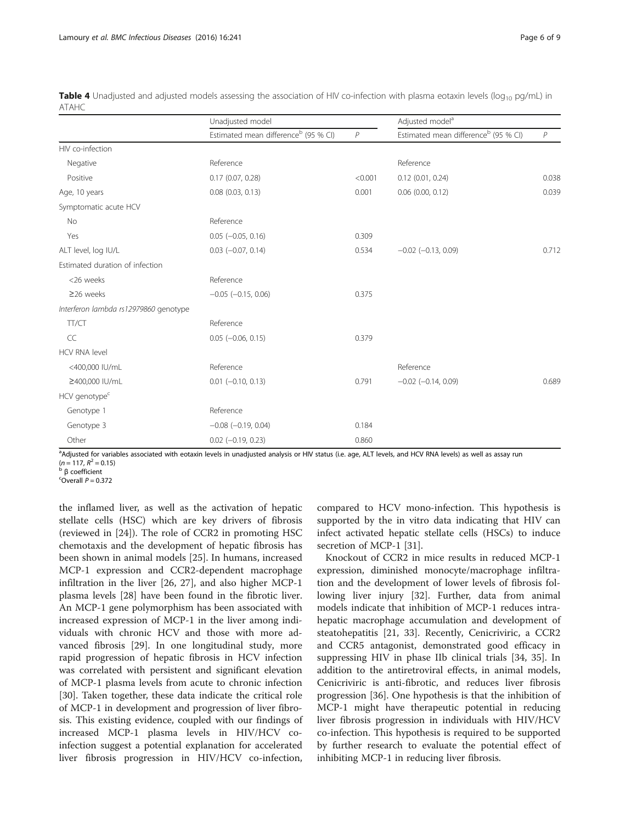|                                       | Unadjusted model                                 |         | Adjusted model <sup>a</sup>                      |       |
|---------------------------------------|--------------------------------------------------|---------|--------------------------------------------------|-------|
|                                       | Estimated mean difference <sup>b</sup> (95 % CI) | P       | Estimated mean difference <sup>b</sup> (95 % CI) | P     |
| HIV co-infection                      |                                                  |         |                                                  |       |
| Negative                              | Reference                                        |         | Reference                                        |       |
| Positive                              | $0.17$ (0.07, 0.28)                              | < 0.001 | $0.12$ (0.01, 0.24)                              | 0.038 |
| Age, 10 years                         | $0.08$ $(0.03, 0.13)$                            | 0.001   | $0.06$ (0.00, 0.12)                              | 0.039 |
| Symptomatic acute HCV                 |                                                  |         |                                                  |       |
| <b>No</b>                             | Reference                                        |         |                                                  |       |
| Yes                                   | $0.05$ ( $-0.05$ , $0.16$ )                      | 0.309   |                                                  |       |
| ALT level, log IU/L                   | $0.03$ ( $-0.07$ , $0.14$ )                      | 0.534   | $-0.02$ $(-0.13, 0.09)$                          | 0.712 |
| Estimated duration of infection       |                                                  |         |                                                  |       |
| <26 weeks                             | Reference                                        |         |                                                  |       |
| $\geq$ 26 weeks                       | $-0.05$ $(-0.15, 0.06)$                          | 0.375   |                                                  |       |
| Interferon lambda rs12979860 genotype |                                                  |         |                                                  |       |
| TT/CT                                 | Reference                                        |         |                                                  |       |
| CC                                    | $0.05$ ( $-0.06$ , $0.15$ )                      | 0.379   |                                                  |       |
| <b>HCV RNA level</b>                  |                                                  |         |                                                  |       |
| <400,000 IU/mL                        | Reference                                        |         | Reference                                        |       |
| ≥400,000 IU/mL                        | $0.01$ (-0.10, 0.13)                             | 0.791   | $-0.02$ $(-0.14, 0.09)$                          | 0.689 |
| HCV genotype <sup>c</sup>             |                                                  |         |                                                  |       |
| Genotype 1                            | Reference                                        |         |                                                  |       |
| Genotype 3                            | $-0.08$ $(-0.19, 0.04)$                          | 0.184   |                                                  |       |
| Other                                 | $0.02$ (-0.19, 0.23)                             | 0.860   |                                                  |       |

<span id="page-5-0"></span>Table 4 Unadjusted and adjusted models assessing the association of HIV co-infection with plasma eotaxin levels (log<sub>10</sub> pg/mL) in ATAHC

a<br>Adjusted for variables associated with eotaxin levels in unadjusted analysis or HIV status (i.e. age, ALT levels, and HCV RNA levels) as well as assay run

(*n* = 117,  $R^2$  = 0.15)<br><sup>b</sup> β coefficient

 $^c$ Overall  $P = 0.372$ 

the inflamed liver, as well as the activation of hepatic stellate cells (HSC) which are key drivers of fibrosis (reviewed in [[24\]](#page-7-0)). The role of CCR2 in promoting HSC chemotaxis and the development of hepatic fibrosis has been shown in animal models [[25\]](#page-7-0). In humans, increased MCP-1 expression and CCR2-dependent macrophage infiltration in the liver [\[26](#page-7-0), [27](#page-7-0)], and also higher MCP-1 plasma levels [[28](#page-7-0)] have been found in the fibrotic liver. An MCP-1 gene polymorphism has been associated with increased expression of MCP-1 in the liver among individuals with chronic HCV and those with more advanced fibrosis [[29\]](#page-7-0). In one longitudinal study, more rapid progression of hepatic fibrosis in HCV infection was correlated with persistent and significant elevation of MCP-1 plasma levels from acute to chronic infection [[30\]](#page-7-0). Taken together, these data indicate the critical role of MCP-1 in development and progression of liver fibrosis. This existing evidence, coupled with our findings of increased MCP-1 plasma levels in HIV/HCV coinfection suggest a potential explanation for accelerated liver fibrosis progression in HIV/HCV co-infection, compared to HCV mono-infection. This hypothesis is supported by the in vitro data indicating that HIV can infect activated hepatic stellate cells (HSCs) to induce secretion of MCP-1 [\[31](#page-7-0)].

Knockout of CCR2 in mice results in reduced MCP-1 expression, diminished monocyte/macrophage infiltration and the development of lower levels of fibrosis following liver injury [\[32\]](#page-7-0). Further, data from animal models indicate that inhibition of MCP-1 reduces intrahepatic macrophage accumulation and development of steatohepatitis [\[21](#page-7-0), [33](#page-7-0)]. Recently, Cenicriviric, a CCR2 and CCR5 antagonist, demonstrated good efficacy in suppressing HIV in phase IIb clinical trials [\[34](#page-8-0), [35](#page-8-0)]. In addition to the antiretroviral effects, in animal models, Cenicriviric is anti-fibrotic, and reduces liver fibrosis progression [\[36](#page-8-0)]. One hypothesis is that the inhibition of MCP-1 might have therapeutic potential in reducing liver fibrosis progression in individuals with HIV/HCV co-infection. This hypothesis is required to be supported by further research to evaluate the potential effect of inhibiting MCP-1 in reducing liver fibrosis.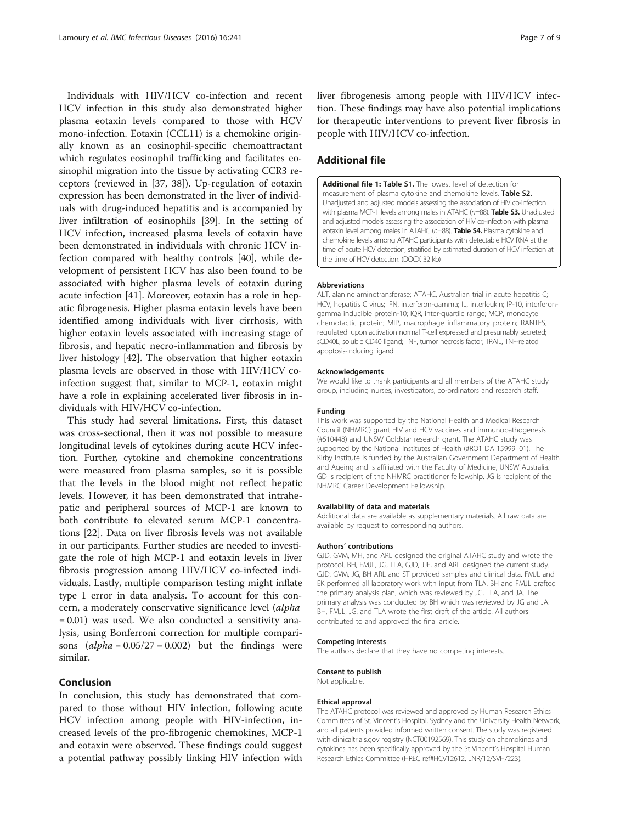<span id="page-6-0"></span>Individuals with HIV/HCV co-infection and recent HCV infection in this study also demonstrated higher plasma eotaxin levels compared to those with HCV mono-infection. Eotaxin (CCL11) is a chemokine originally known as an eosinophil-specific chemoattractant which regulates eosinophil trafficking and facilitates eosinophil migration into the tissue by activating CCR3 receptors (reviewed in [[37, 38\]](#page-8-0)). Up-regulation of eotaxin expression has been demonstrated in the liver of individuals with drug-induced hepatitis and is accompanied by liver infiltration of eosinophils [[39\]](#page-8-0). In the setting of HCV infection, increased plasma levels of eotaxin have been demonstrated in individuals with chronic HCV infection compared with healthy controls [[40](#page-8-0)], while development of persistent HCV has also been found to be associated with higher plasma levels of eotaxin during acute infection [\[41](#page-8-0)]. Moreover, eotaxin has a role in hepatic fibrogenesis. Higher plasma eotaxin levels have been identified among individuals with liver cirrhosis, with higher eotaxin levels associated with increasing stage of fibrosis, and hepatic necro-inflammation and fibrosis by liver histology [[42](#page-8-0)]. The observation that higher eotaxin plasma levels are observed in those with HIV/HCV coinfection suggest that, similar to MCP-1, eotaxin might have a role in explaining accelerated liver fibrosis in individuals with HIV/HCV co-infection.

This study had several limitations. First, this dataset was cross-sectional, then it was not possible to measure longitudinal levels of cytokines during acute HCV infection. Further, cytokine and chemokine concentrations were measured from plasma samples, so it is possible that the levels in the blood might not reflect hepatic levels. However, it has been demonstrated that intrahepatic and peripheral sources of MCP-1 are known to both contribute to elevated serum MCP-1 concentrations [[22](#page-7-0)]. Data on liver fibrosis levels was not available in our participants. Further studies are needed to investigate the role of high MCP-1 and eotaxin levels in liver fibrosis progression among HIV/HCV co-infected individuals. Lastly, multiple comparison testing might inflate type 1 error in data analysis. To account for this concern, a moderately conservative significance level (alpha = 0.01) was used. We also conducted a sensitivity analysis, using Bonferroni correction for multiple comparisons  $(alpha = 0.05/27 = 0.002)$  but the findings were similar.

## Conclusion

In conclusion, this study has demonstrated that compared to those without HIV infection, following acute HCV infection among people with HIV-infection, increased levels of the pro-fibrogenic chemokines, MCP-1 and eotaxin were observed. These findings could suggest a potential pathway possibly linking HIV infection with liver fibrogenesis among people with HIV/HCV infection. These findings may have also potential implications for therapeutic interventions to prevent liver fibrosis in people with HIV/HCV co-infection.

## Additional file

[Additional file 1:](dx.doi.org/10.1186/s12879-016-1567-2) Table S1. The lowest level of detection for measurement of plasma cytokine and chemokine levels. Table S2. Unadjusted and adjusted models assessing the association of HIV co-infection with plasma MCP-1 levels among males in ATAHC (n=88). Table S3. Unadjusted and adjusted models assessing the association of HIV co-infection with plasma eotaxin level among males in ATAHC (n=88). **Table S4.** Plasma cytokine and chemokine levels among ATAHC participants with detectable HCV RNA at the time of acute HCV detection, stratified by estimated duration of HCV infection at the time of HCV detection. (DOCX 32 kb)

#### Abbreviations

ALT, alanine aminotransferase; ATAHC, Australian trial in acute hepatitis C; HCV, hepatitis C virus; IFN, interferon-gamma; IL, interleukin; IP-10, interferongamma inducible protein-10; IQR, inter-quartile range; MCP, monocyte chemotactic protein; MIP, macrophage inflammatory protein; RANTES, regulated upon activation normal T-cell expressed and presumably secreted; sCD40L, soluble CD40 ligand; TNF, tumor necrosis factor; TRAIL, TNF-related apoptosis-inducing ligand

#### Acknowledgements

We would like to thank participants and all members of the ATAHC study group, including nurses, investigators, co-ordinators and research staff.

#### Funding

This work was supported by the National Health and Medical Research Council (NHMRC) grant HIV and HCV vaccines and immunopathogenesis (#510448) and UNSW Goldstar research grant. The ATAHC study was supported by the National Institutes of Health (#RO1 DA 15999–01). The Kirby Institute is funded by the Australian Government Department of Health and Ageing and is affiliated with the Faculty of Medicine, UNSW Australia. GD is recipient of the NHMRC practitioner fellowship. JG is recipient of the NHMRC Career Development Fellowship.

#### Availability of data and materials

Additional data are available as supplementary materials. All raw data are available by request to corresponding authors.

#### Authors' contributions

GJD, GVM, MH, and ARL designed the original ATAHC study and wrote the protocol. BH, FMJL, JG, TLA, GJD, JJF, and ARL designed the current study. GJD, GVM, JG, BH ARL and ST provided samples and clinical data. FMJL and EK performed all laboratory work with input from TLA. BH and FMJL drafted the primary analysis plan, which was reviewed by JG, TLA, and JA. The primary analysis was conducted by BH which was reviewed by JG and JA. BH, FMJL, JG, and TLA wrote the first draft of the article. All authors contributed to and approved the final article.

#### Competing interests

The authors declare that they have no competing interests.

## Consent to publish

Not applicable.

#### Ethical approval

The ATAHC protocol was reviewed and approved by Human Research Ethics Committees of St. Vincent's Hospital, Sydney and the University Health Network, and all patients provided informed written consent. The study was registered with clinicaltrials.gov registry (NCT00192569). This study on chemokines and cytokines has been specifically approved by the St Vincent's Hospital Human Research Ethics Committee (HREC ref#HCV12612. LNR/12/SVH/223).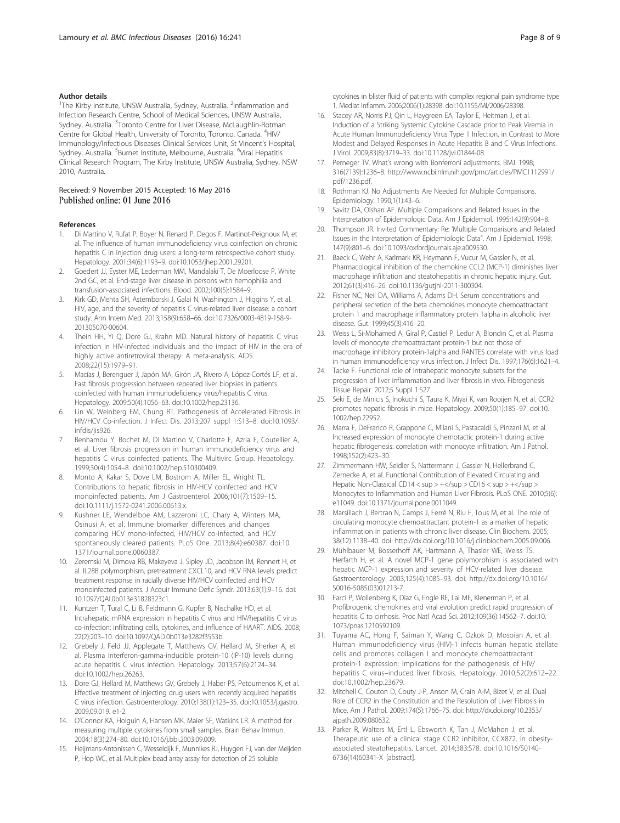## <span id="page-7-0"></span>Author details

<sup>1</sup>The Kirby Institute, UNSW Australia, Sydney, Australia. <sup>2</sup>Inflammation and Infection Research Centre, School of Medical Sciences, UNSW Australia, Sydney, Australia. <sup>3</sup>Toronto Centre for Liver Disease, McLaughlin-Rotman Centre for Global Health, University of Toronto, Toronto, Canada. <sup>4</sup>HIV/ Immunology/Infectious Diseases Clinical Services Unit, St Vincent's Hospital, Sydney, Australia. <sup>5</sup>Burnet Institute, Melbourne, Australia. <sup>6</sup>Viral Hepatitis Clinical Research Program, The Kirby Institute, UNSW Australia, Sydney, NSW 2010, Australia.

## Received: 9 November 2015 Accepted: 16 May 2016 Published online: 01 June 2016

#### References

- 1. Di Martino V, Rufat P, Boyer N, Renard P, Degos F, Martinot-Peignoux M, et al. The influence of human immunodeficiency virus coinfection on chronic hepatitis C in injection drug users: a long-term retrospective cohort study. Hepatology. 2001;34(6):1193–9. doi[:10.1053/jhep.2001.29201](http://dx.doi.org/10.1053/jhep.2001.29201).
- 2. Goedert JJ, Eyster ME, Lederman MM, Mandalaki T, De Moerloose P, White 2nd GC, et al. End-stage liver disease in persons with hemophilia and transfusion-associated infections. Blood. 2002;100(5):1584–9.
- 3. Kirk GD, Mehta SH, Astemborski J, Galai N, Washington J, Higgins Y, et al. HIV, age, and the severity of hepatitis C virus-related liver disease: a cohort study. Ann Intern Med. 2013;158(9):658–66. doi:[10.7326/0003-4819-158-9-](http://dx.doi.org/10.7326/0003-4819-158-9-201305070-00604) [201305070-00604.](http://dx.doi.org/10.7326/0003-4819-158-9-201305070-00604)
- 4. Thein HH, Yi Q, Dore GJ, Krahn MD. Natural history of hepatitis C virus infection in HIV-infected individuals and the impact of HIV in the era of highly active antiretroviral therapy: A meta-analysis. AIDS. 2008;22(15):1979–91.
- 5. Macías J, Berenguer J, Japón MA, Girón JA, Rivero A, López-Cortés LF, et al. Fast fibrosis progression between repeated liver biopsies in patients coinfected with human immunodeficiency virus/hepatitis C virus. Hepatology. 2009;50(4):1056–63. doi:[10.1002/hep.23136](http://dx.doi.org/10.1002/hep.23136).
- 6. Lin W, Weinberg EM, Chung RT. Pathogenesis of Accelerated Fibrosis in HIV/HCV Co-infection. J Infect Dis. 2013;207 suppl 1:S13–8. doi[:10.1093/](http://dx.doi.org/10.1093/infdis/jis926) [infdis/jis926](http://dx.doi.org/10.1093/infdis/jis926).
- 7. Benhamou Y, Bochet M, Di Martino V, Charlotte F, Azria F, Coutellier A, et al. Liver fibrosis progression in human immunodeficiency virus and hepatitis C virus coinfected patients. The Multivirc Group. Hepatology. 1999;30(4):1054–8. doi:[10.1002/hep.510300409.](http://dx.doi.org/10.1002/hep.510300409)
- 8. Monto A, Kakar S, Dove LM, Bostrom A, Miller EL, Wright TL. Contributions to hepatic fibrosis in HIV-HCV coinfected and HCV monoinfected patients. Am J Gastroenterol. 2006;101(7):1509–15. doi[:10.1111/j.1572-0241.2006.00613.x.](http://dx.doi.org/10.1111/j.1572-0241.2006.00613.x)
- Kushner LE, Wendelboe AM, Lazzeroni LC, Chary A, Winters MA, Osinusi A, et al. Immune biomarker differences and changes comparing HCV mono-infected, HIV/HCV co-infected, and HCV spontaneously cleared patients. PLoS One. 2013;8(4):e60387. doi:[10.](http://dx.doi.org/10.1371/journal.pone.0060387) [1371/journal.pone.0060387](http://dx.doi.org/10.1371/journal.pone.0060387).
- 10. Zeremski M, Dimova RB, Makeyeva J, Sipley JD, Jacobson IM, Rennert H, et al. IL28B polymorphism, pretreatment CXCL10, and HCV RNA levels predict treatment response in racially diverse HIV/HCV coinfected and HCV monoinfected patients. J Acquir Immune Defic Syndr. 2013;63(1):9–16. doi: [10.1097/QAI.0b013e31828323c1](http://dx.doi.org/10.1097/QAI.0b013e31828323c1).
- 11. Kuntzen T, Tural C, Li B, Feldmann G, Kupfer B, Nischalke HD, et al. Intrahepatic mRNA expression in hepatitis C virus and HIV/hepatitis C virus co-infection: infiltrating cells, cytokines, and influence of HAART. AIDS. 2008; 22(2):203–10. doi[:10.1097/QAD.0b013e3282f3553b.](http://dx.doi.org/10.1097/QAD.0b013e3282f3553b)
- 12. Grebely J, Feld JJ, Applegate T, Matthews GV, Hellard M, Sherker A, et al. Plasma interferon-gamma-inducible protein-10 (IP-10) levels during acute hepatitis C virus infection. Hepatology. 2013;57(6):2124–34. doi[:10.1002/hep.26263](http://dx.doi.org/10.1002/hep.26263).
- 13. Dore GJ, Hellard M, Matthews GV, Grebely J, Haber PS, Petoumenos K, et al. Effective treatment of injecting drug users with recently acquired hepatitis C virus infection. Gastroenterology. 2010;138(1):123–35. doi[:10.1053/j.gastro.](http://dx.doi.org/10.1053/j.gastro.2009.09.019) [2009.09.019.](http://dx.doi.org/10.1053/j.gastro.2009.09.019) e1-2.
- 14. O'Connor KA, Holguin A, Hansen MK, Maier SF, Watkins LR. A method for measuring multiple cytokines from small samples. Brain Behav Immun. 2004;18(3):274–80. doi:[10.1016/j.bbi.2003.09.009](http://dx.doi.org/10.1016/j.bbi.2003.09.009).
- 15. Heijmans-Antonissen C, Wesseldijk F, Munnikes RJ, Huygen FJ, van der Meijden P, Hop WC, et al. Multiplex bead array assay for detection of 25 soluble

cytokines in blister fluid of patients with complex regional pain syndrome type 1. Mediat Inflamm. 2006;2006(1):28398. doi[:10.1155/MI/2006/28398.](http://dx.doi.org/10.1155/MI/2006/28398)

- 16. Stacey AR, Norris PJ, Qin L, Haygreen EA, Taylor E, Heitman J, et al. Induction of a Striking Systemic Cytokine Cascade prior to Peak Viremia in Acute Human Immunodeficiency Virus Type 1 Infection, in Contrast to More Modest and Delayed Responses in Acute Hepatitis B and C Virus Infections. J Virol. 2009;83(8):3719–33. doi:[10.1128/jvi.01844-08](http://dx.doi.org/10.1128/jvi.01844-08).
- 17. Perneger TV. What's wrong with Bonferroni adjustments. BMJ. 1998; 316(7139):1236–8. [http://www.ncbi.nlm.nih.gov/pmc/articles/PMC1112991/](http://www.ncbi.nlm.nih.gov/pmc/articles/PMC1112991/pdf/1236.pdf) [pdf/1236.pdf](http://www.ncbi.nlm.nih.gov/pmc/articles/PMC1112991/pdf/1236.pdf).
- 18. Rothman KJ. No Adjustments Are Needed for Multiple Comparisons. Epidemiology. 1990;1(1):43–6.
- 19. Savitz DA, Olshan AF. Multiple Comparisons and Related Issues in the Interpretation of Epidemiologic Data. Am J Epidemiol. 1995;142(9):904–8.
- 20. Thompson JR. Invited Commentary: Re: 'Multiple Comparisons and Related Issues in the Interpretation of Epidemiologic Data". Am J Epidemiol. 1998; 147(9):801–6. doi[:10.1093/oxfordjournals.aje.a009530.](http://dx.doi.org/10.1093/oxfordjournals.aje.a009530)
- 21. Baeck C, Wehr A, Karlmark KR, Heymann F, Vucur M, Gassler N, et al. Pharmacological inhibition of the chemokine CCL2 (MCP-1) diminishes liver macrophage infiltration and steatohepatitis in chronic hepatic injury. Gut. 2012;61(3):416–26. doi:[10.1136/gutjnl-2011-300304.](http://dx.doi.org/10.1136/gutjnl-2011-300304)
- 22. Fisher NC, Neil DA, Williams A, Adams DH. Serum concentrations and peripheral secretion of the beta chemokines monocyte chemoattractant protein 1 and macrophage inflammatory protein 1alpha in alcoholic liver disease. Gut. 1999;45(3):416–20.
- 23. Weiss L, Si-Mohamed A, Giral P, Castiel P, Ledur A, Blondin C, et al. Plasma levels of monocyte chemoattractant protein-1 but not those of macrophage inhibitory protein-1alpha and RANTES correlate with virus load in human immunodeficiency virus infection. J Infect Dis. 1997;176(6):1621–4.
- 24. Tacke F. Functional role of intrahepatic monocyte subsets for the progression of liver inflammation and liver fibrosis in vivo. Fibrogenesis Tissue Repair. 2012;5 Suppl 1:S27.
- 25. Seki E, de Minicis S, Inokuchi S, Taura K, Miyai K, van Rooijen N, et al. CCR2 promotes hepatic fibrosis in mice. Hepatology. 2009;50(1):185–97. doi[:10.](http://dx.doi.org/10.1002/hep.22952) [1002/hep.22952](http://dx.doi.org/10.1002/hep.22952).
- 26. Marra F, DeFranco R, Grappone C, Milani S, Pastacaldi S, Pinzani M, et al. Increased expression of monocyte chemotactic protein-1 during active hepatic fibrogenesis: correlation with monocyte infiltration. Am J Pathol. 1998;152(2):423–30.
- 27. Zimmermann HW, Seidler S, Nattermann J, Gassler N, Hellerbrand C, Zernecke A, et al. Functional Contribution of Elevated Circulating and Hepatic Non-Classical CD14 < sup > +</sup > CD16 < sup > +</sup > Monocytes to Inflammation and Human Liver Fibrosis. PLoS ONE. 2010;5(6): e11049. doi:[10.1371/journal.pone.0011049.](http://dx.doi.org/10.1371/journal.pone.0011049)
- 28. Marsillach J, Bertran N, Camps J, Ferré N, Riu F, Tous M, et al. The role of circulating monocyte chemoattractant protein-1 as a marker of hepatic inflammation in patients with chronic liver disease. Clin Biochem. 2005; 38(12):1138–40. doi: http://dx.doi.org/10.1016/j.clinbiochem.2005.09.006.
- 29. Mühlbauer M, Bosserhoff AK, Hartmann A, Thasler WE, Weiss TS, Herfarth H, et al. A novel MCP-1 gene polymorphism is associated with hepatic MCP-1 expression and severity of HCV-related liver disease. Gastroenterology. 2003;125(4):1085–93. doi: http://dx.doi.org/10.1016/ S0016-5085(03)01213-7.
- 30. Farci P, Wollenberg K, Diaz G, Engle RE, Lai ME, Klenerman P, et al. Profibrogenic chemokines and viral evolution predict rapid progression of hepatitis C to cirrhosis. Proc Natl Acad Sci. 2012;109(36):14562–7. doi:[10.](http://dx.doi.org/10.1073/pnas.1210592109) [1073/pnas.1210592109.](http://dx.doi.org/10.1073/pnas.1210592109)
- 31. Tuyama AC, Hong F, Saiman Y, Wang C, Ozkok D, Mosoian A, et al. Human immunodeficiency virus (HIV)-1 infects human hepatic stellate cells and promotes collagen I and monocyte chemoattractant protein-1 expression: Implications for the pathogenesis of HIV/ hepatitis C virus–induced liver fibrosis. Hepatology. 2010;52(2):612–22. doi:[10.1002/hep.23679](http://dx.doi.org/10.1002/hep.23679).
- 32. Mitchell C, Couton D, Couty J-P, Anson M, Crain A-M, Bizet V, et al. Dual Role of CCR2 in the Constitution and the Resolution of Liver Fibrosis in Mice. Am J Pathol. 2009;174(5):1766–75. doi: http://dx.doi.org/10.2353/ ajpath.2009.080632.
- 33. Parker R, Walters M, Ertl L, Ebsworth K, Tan J, McMahon J, et al. Therapeutic use of a clinical stage CCR2 inhibitor, CCX872, in obesityassociated steatohepatitis. Lancet. 2014;383:S78. doi[:10.1016/S0140-](http://dx.doi.org/10.1016/S0140-6736(14)60341-X) [6736\(14\)60341-X](http://dx.doi.org/10.1016/S0140-6736(14)60341-X) [abstract].